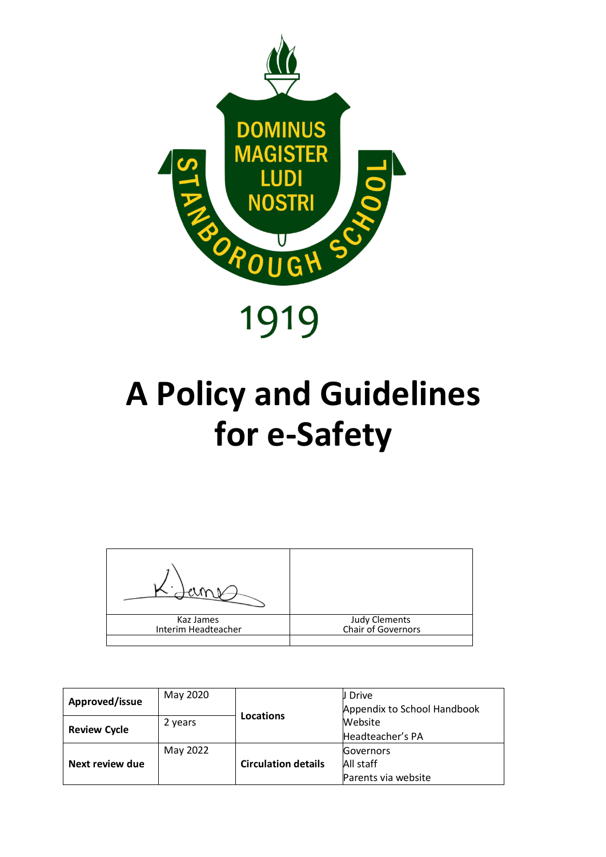

### **A Policy and Guidelines for e-Safety**



| Approved/issue      | May 2020             |                            | J Drive<br>Appendix to School Handbook        |
|---------------------|----------------------|----------------------------|-----------------------------------------------|
| <b>Review Cycle</b> | Locations<br>2 years |                            | Website<br>Headteacher's PA                   |
| Next review due     | May 2022             | <b>Circulation details</b> | Governors<br>All staff<br>Parents via website |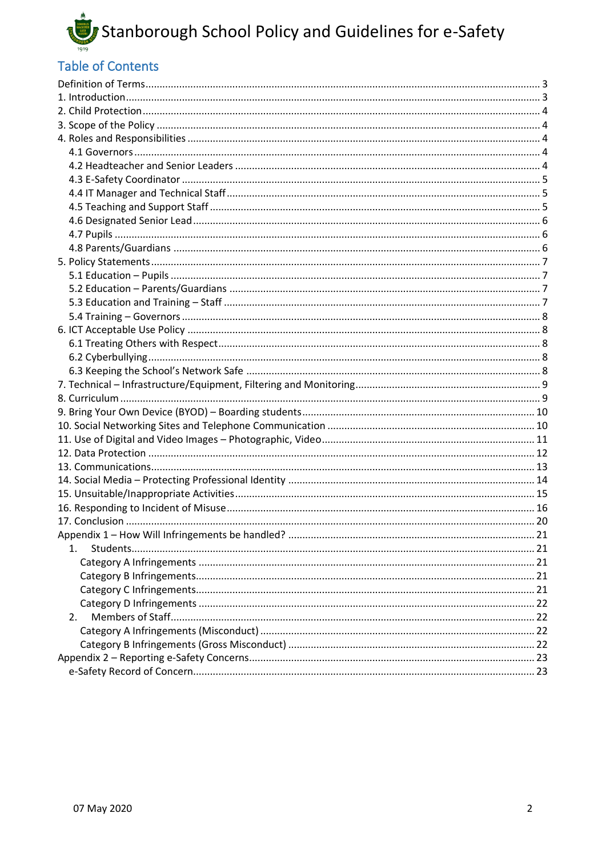

#### **Table of Contents**

| 1. |  |
|----|--|
|    |  |
|    |  |
|    |  |
|    |  |
| 2. |  |
|    |  |
|    |  |
|    |  |
|    |  |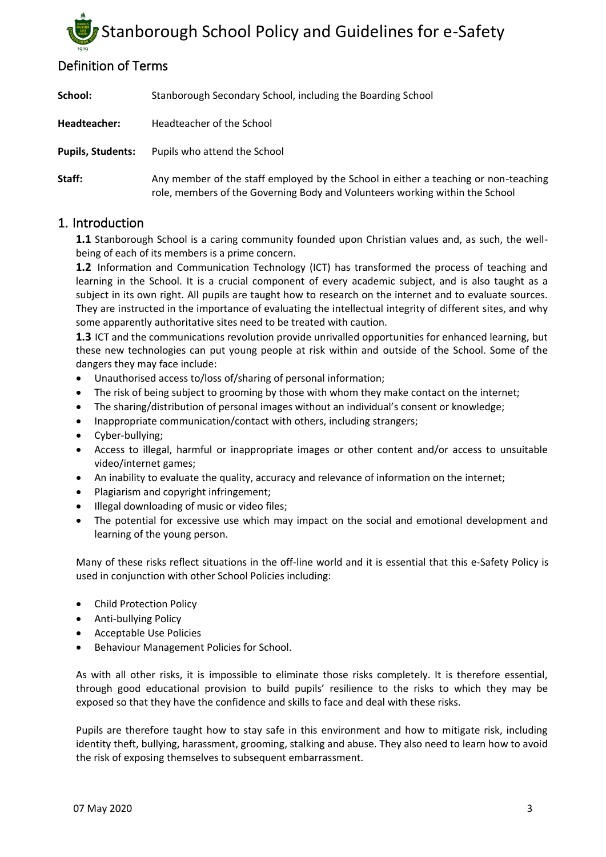#### <span id="page-2-0"></span>Definition of Terms

| School:                  | Stanborough Secondary School, including the Boarding School                                                                                                         |
|--------------------------|---------------------------------------------------------------------------------------------------------------------------------------------------------------------|
| Headteacher:             | Headteacher of the School                                                                                                                                           |
| <b>Pupils, Students:</b> | Pupils who attend the School                                                                                                                                        |
| Staff:                   | Any member of the staff employed by the School in either a teaching or non-teaching<br>role, members of the Governing Body and Volunteers working within the School |

#### <span id="page-2-1"></span>1. Introduction

**1.1** Stanborough School is a caring community founded upon Christian values and, as such, the wellbeing of each of its members is a prime concern.

**1.2** Information and Communication Technology (ICT) has transformed the process of teaching and learning in the School. It is a crucial component of every academic subject, and is also taught as a subject in its own right. All pupils are taught how to research on the internet and to evaluate sources. They are instructed in the importance of evaluating the intellectual integrity of different sites, and why some apparently authoritative sites need to be treated with caution.

**1.3** ICT and the communications revolution provide unrivalled opportunities for enhanced learning, but these new technologies can put young people at risk within and outside of the School. Some of the dangers they may face include:

- Unauthorised access to/loss of/sharing of personal information;
- The risk of being subject to grooming by those with whom they make contact on the internet;
- The sharing/distribution of personal images without an individual's consent or knowledge;
- Inappropriate communication/contact with others, including strangers;
- Cyber-bullying;
- Access to illegal, harmful or inappropriate images or other content and/or access to unsuitable video/internet games;
- An inability to evaluate the quality, accuracy and relevance of information on the internet;
- Plagiarism and copyright infringement;
- Illegal downloading of music or video files;
- The potential for excessive use which may impact on the social and emotional development and learning of the young person.

Many of these risks reflect situations in the off-line world and it is essential that this e-Safety Policy is used in conjunction with other School Policies including:

- Child Protection Policy
- Anti-bullying Policy
- Acceptable Use Policies
- Behaviour Management Policies for School.

As with all other risks, it is impossible to eliminate those risks completely. It is therefore essential, through good educational provision to build pupils' resilience to the risks to which they may be exposed so that they have the confidence and skills to face and deal with these risks.

Pupils are therefore taught how to stay safe in this environment and how to mitigate risk, including identity theft, bullying, harassment, grooming, stalking and abuse. They also need to learn how to avoid the risk of exposing themselves to subsequent embarrassment.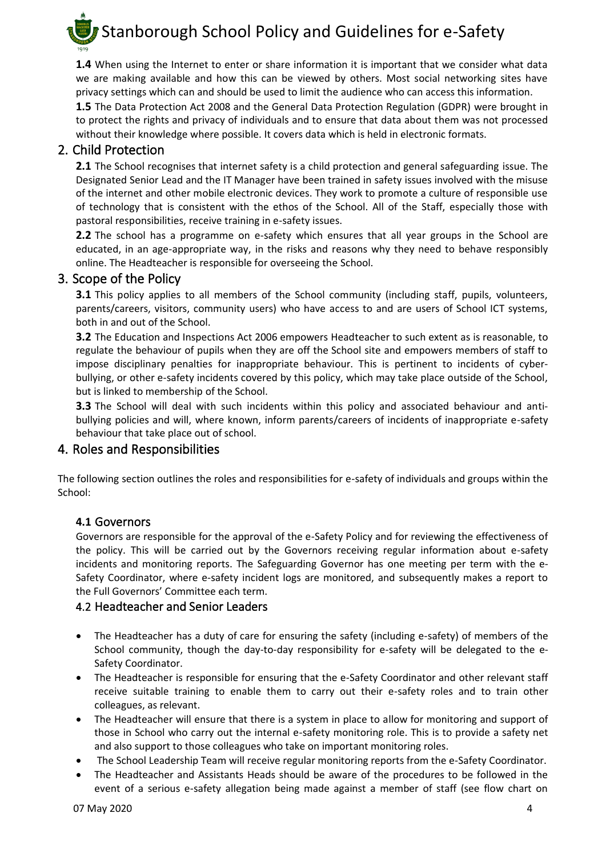

**1.4** When using the Internet to enter or share information it is important that we consider what data we are making available and how this can be viewed by others. Most social networking sites have privacy settings which can and should be used to limit the audience who can access this information.

**1.5** The Data Protection Act 2008 and the General Data Protection Regulation (GDPR) were brought in to protect the rights and privacy of individuals and to ensure that data about them was not processed without their knowledge where possible. It covers data which is held in electronic formats.

#### <span id="page-3-0"></span>2. Child Protection

**2.1** The School recognises that internet safety is a child protection and general safeguarding issue. The Designated Senior Lead and the IT Manager have been trained in safety issues involved with the misuse of the internet and other mobile electronic devices. They work to promote a culture of responsible use of technology that is consistent with the ethos of the School. All of the Staff, especially those with pastoral responsibilities, receive training in e-safety issues.

**2.2** The school has a programme on e-safety which ensures that all year groups in the School are educated, in an age-appropriate way, in the risks and reasons why they need to behave responsibly online. The Headteacher is responsible for overseeing the School.

#### <span id="page-3-1"></span>3. Scope of the Policy

**3.1** This policy applies to all members of the School community (including staff, pupils, volunteers, parents/careers, visitors, community users) who have access to and are users of School ICT systems, both in and out of the School.

**3.2** The Education and Inspections Act 2006 empowers Headteacher to such extent as is reasonable, to regulate the behaviour of pupils when they are off the School site and empowers members of staff to impose disciplinary penalties for inappropriate behaviour. This is pertinent to incidents of cyberbullying, or other e-safety incidents covered by this policy, which may take place outside of the School, but is linked to membership of the School.

**3.3** The School will deal with such incidents within this policy and associated behaviour and antibullying policies and will, where known, inform parents/careers of incidents of inappropriate e-safety behaviour that take place out of school.

#### <span id="page-3-2"></span>4. Roles and Responsibilities

The following section outlines the roles and responsibilities for e-safety of individuals and groups within the School:

#### <span id="page-3-3"></span>**4.1** Governors

Governors are responsible for the approval of the e-Safety Policy and for reviewing the effectiveness of the policy. This will be carried out by the Governors receiving regular information about e-safety incidents and monitoring reports. The Safeguarding Governor has one meeting per term with the e-Safety Coordinator, where e-safety incident logs are monitored, and subsequently makes a report to the Full Governors' Committee each term.

#### <span id="page-3-4"></span>4.2 Headteacher and Senior Leaders

- The Headteacher has a duty of care for ensuring the safety (including e-safety) of members of the School community, though the day-to-day responsibility for e-safety will be delegated to the e-Safety Coordinator.
- The Headteacher is responsible for ensuring that the e-Safety Coordinator and other relevant staff receive suitable training to enable them to carry out their e-safety roles and to train other colleagues, as relevant.
- The Headteacher will ensure that there is a system in place to allow for monitoring and support of those in School who carry out the internal e-safety monitoring role. This is to provide a safety net and also support to those colleagues who take on important monitoring roles.
- The School Leadership Team will receive regular monitoring reports from the e-Safety Coordinator.
- The Headteacher and Assistants Heads should be aware of the procedures to be followed in the event of a serious e-safety allegation being made against a member of staff (see flow chart on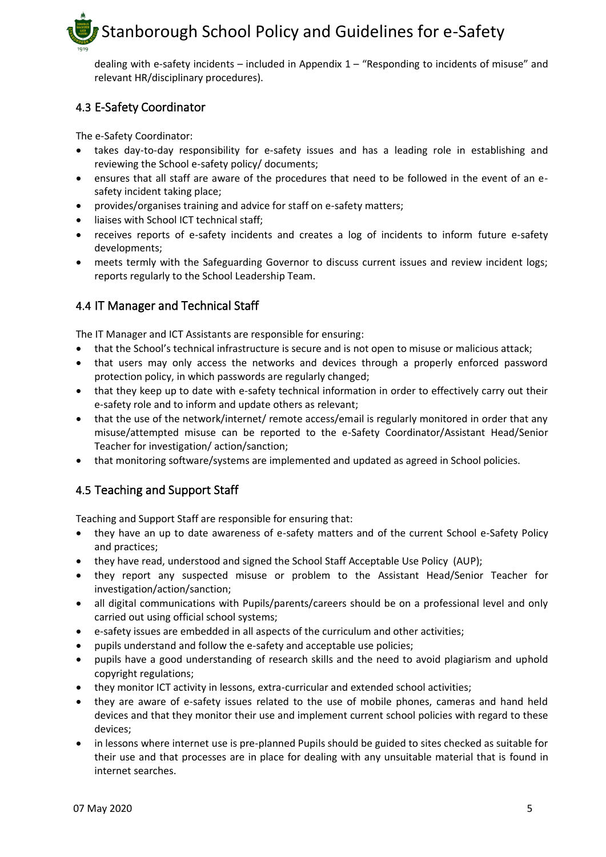dealing with e-safety incidents – included in Appendix 1 – "Responding to incidents of misuse" and relevant HR/disciplinary procedures).

#### <span id="page-4-0"></span>4.3 E-Safety Coordinator

The e-Safety Coordinator:

- takes day-to-day responsibility for e-safety issues and has a leading role in establishing and reviewing the School e-safety policy/ documents;
- ensures that all staff are aware of the procedures that need to be followed in the event of an esafety incident taking place;
- provides/organises training and advice for staff on e-safety matters;
- liaises with School ICT technical staff;
- receives reports of e-safety incidents and creates a log of incidents to inform future e-safety developments;
- meets termly with the Safeguarding Governor to discuss current issues and review incident logs; reports regularly to the School Leadership Team.

#### <span id="page-4-1"></span>4.4 IT Manager and Technical Staff

The IT Manager and ICT Assistants are responsible for ensuring:

- that the School's technical infrastructure is secure and is not open to misuse or malicious attack;
- that users may only access the networks and devices through a properly enforced password protection policy, in which passwords are regularly changed;
- that they keep up to date with e-safety technical information in order to effectively carry out their e-safety role and to inform and update others as relevant;
- that the use of the network/internet/ remote access/email is regularly monitored in order that any misuse/attempted misuse can be reported to the e-Safety Coordinator/Assistant Head/Senior Teacher for investigation/ action/sanction;
- that monitoring software/systems are implemented and updated as agreed in School policies.

#### <span id="page-4-2"></span>4.5 Teaching and Support Staff

Teaching and Support Staff are responsible for ensuring that:

- they have an up to date awareness of e-safety matters and of the current School e-Safety Policy and practices;
- they have read, understood and signed the School Staff Acceptable Use Policy (AUP);
- they report any suspected misuse or problem to the Assistant Head/Senior Teacher for investigation/action/sanction;
- all digital communications with Pupils/parents/careers should be on a professional level and only carried out using official school systems;
- e-safety issues are embedded in all aspects of the curriculum and other activities;
- pupils understand and follow the e-safety and acceptable use policies;
- pupils have a good understanding of research skills and the need to avoid plagiarism and uphold copyright regulations;
- they monitor ICT activity in lessons, extra-curricular and extended school activities;
- they are aware of e-safety issues related to the use of mobile phones, cameras and hand held devices and that they monitor their use and implement current school policies with regard to these devices;
- in lessons where internet use is pre-planned Pupils should be guided to sites checked as suitable for their use and that processes are in place for dealing with any unsuitable material that is found in internet searches.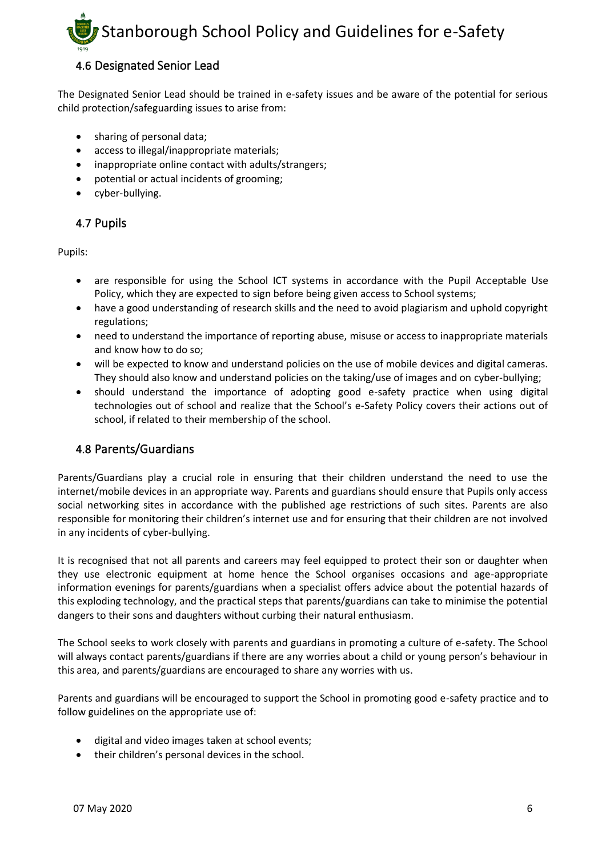#### <span id="page-5-0"></span>4.6 Designated Senior Lead

The Designated Senior Lead should be trained in e-safety issues and be aware of the potential for serious child protection/safeguarding issues to arise from:

- sharing of personal data;
- access to illegal/inappropriate materials;
- inappropriate online contact with adults/strangers;
- potential or actual incidents of grooming;
- cyber-bullying.

#### <span id="page-5-1"></span>4.7 Pupils

Pupils:

- are responsible for using the School ICT systems in accordance with the Pupil Acceptable Use Policy, which they are expected to sign before being given access to School systems;
- have a good understanding of research skills and the need to avoid plagiarism and uphold copyright regulations;
- need to understand the importance of reporting abuse, misuse or access to inappropriate materials and know how to do so;
- will be expected to know and understand policies on the use of mobile devices and digital cameras. They should also know and understand policies on the taking/use of images and on cyber-bullying;
- should understand the importance of adopting good e-safety practice when using digital technologies out of school and realize that the School's e-Safety Policy covers their actions out of school, if related to their membership of the school.

#### <span id="page-5-2"></span>4.8 Parents/Guardians

Parents/Guardians play a crucial role in ensuring that their children understand the need to use the internet/mobile devices in an appropriate way. Parents and guardians should ensure that Pupils only access social networking sites in accordance with the published age restrictions of such sites. Parents are also responsible for monitoring their children's internet use and for ensuring that their children are not involved in any incidents of cyber-bullying.

It is recognised that not all parents and careers may feel equipped to protect their son or daughter when they use electronic equipment at home hence the School organises occasions and age-appropriate information evenings for parents/guardians when a specialist offers advice about the potential hazards of this exploding technology, and the practical steps that parents/guardians can take to minimise the potential dangers to their sons and daughters without curbing their natural enthusiasm.

The School seeks to work closely with parents and guardians in promoting a culture of e-safety. The School will always contact parents/guardians if there are any worries about a child or young person's behaviour in this area, and parents/guardians are encouraged to share any worries with us.

Parents and guardians will be encouraged to support the School in promoting good e-safety practice and to follow guidelines on the appropriate use of:

- digital and video images taken at school events;
- their children's personal devices in the school.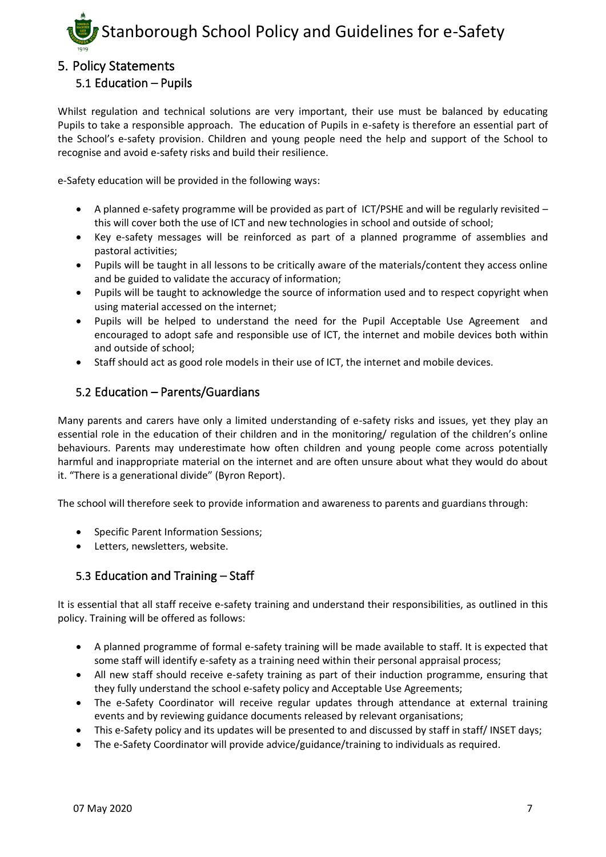

#### <span id="page-6-1"></span><span id="page-6-0"></span>5. Policy Statements

#### 5.1 Education – Pupils

Whilst regulation and technical solutions are very important, their use must be balanced by educating Pupils to take a responsible approach. The education of Pupils in e-safety is therefore an essential part of the School's e-safety provision. Children and young people need the help and support of the School to recognise and avoid e-safety risks and build their resilience.

e-Safety education will be provided in the following ways:

- A planned e-safety programme will be provided as part of ICT/PSHE and will be regularly revisited this will cover both the use of ICT and new technologies in school and outside of school;
- Key e-safety messages will be reinforced as part of a planned programme of assemblies and pastoral activities;
- Pupils will be taught in all lessons to be critically aware of the materials/content they access online and be guided to validate the accuracy of information;
- Pupils will be taught to acknowledge the source of information used and to respect copyright when using material accessed on the internet;
- Pupils will be helped to understand the need for the Pupil Acceptable Use Agreement and encouraged to adopt safe and responsible use of ICT, the internet and mobile devices both within and outside of school;
- Staff should act as good role models in their use of ICT, the internet and mobile devices.

#### <span id="page-6-2"></span>5.2 Education – Parents/Guardians

Many parents and carers have only a limited understanding of e-safety risks and issues, yet they play an essential role in the education of their children and in the monitoring/ regulation of the children's online behaviours. Parents may underestimate how often children and young people come across potentially harmful and inappropriate material on the internet and are often unsure about what they would do about it. "There is a generational divide" (Byron Report).

The school will therefore seek to provide information and awareness to parents and guardians through:

- Specific Parent Information Sessions;
- Letters, newsletters, website.

#### <span id="page-6-3"></span>5.3 Education and Training – Staff

It is essential that all staff receive e-safety training and understand their responsibilities, as outlined in this policy. Training will be offered as follows:

- A planned programme of formal e-safety training will be made available to staff. It is expected that some staff will identify e-safety as a training need within their personal appraisal process;
- All new staff should receive e-safety training as part of their induction programme, ensuring that they fully understand the school e-safety policy and Acceptable Use Agreements;
- The e-Safety Coordinator will receive regular updates through attendance at external training events and by reviewing guidance documents released by relevant organisations;
- This e-Safety policy and its updates will be presented to and discussed by staff in staff/ INSET days;
- The e-Safety Coordinator will provide advice/guidance/training to individuals as required.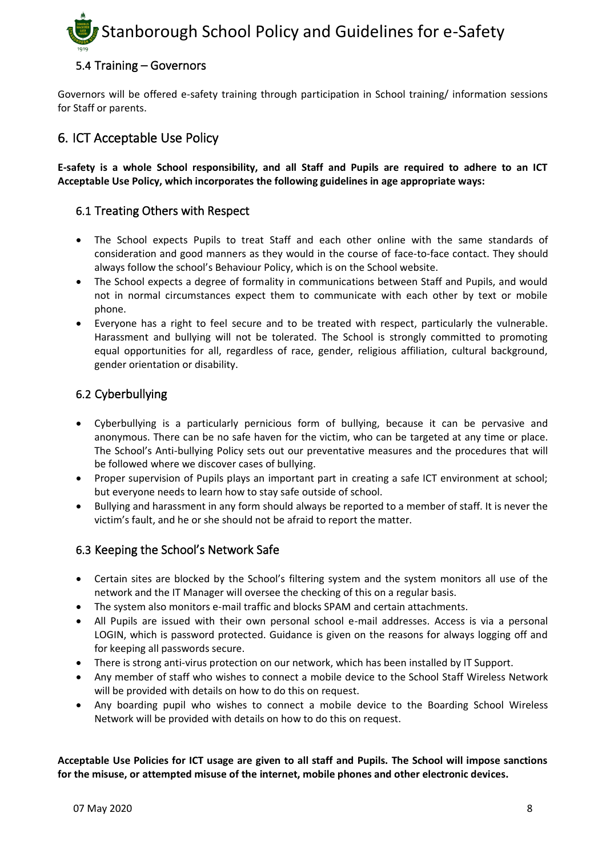#### <span id="page-7-0"></span>5.4 Training – Governors

Governors will be offered e-safety training through participation in School training/ information sessions for Staff or parents.

#### <span id="page-7-1"></span>6. ICT Acceptable Use Policy

**E-safety is a whole School responsibility, and all Staff and Pupils are required to adhere to an ICT Acceptable Use Policy, which incorporates the following guidelines in age appropriate ways:** 

#### <span id="page-7-2"></span>6.1 Treating Others with Respect

- The School expects Pupils to treat Staff and each other online with the same standards of consideration and good manners as they would in the course of face-to-face contact. They should always follow the school's Behaviour Policy, which is on the School website.
- The School expects a degree of formality in communications between Staff and Pupils, and would not in normal circumstances expect them to communicate with each other by text or mobile phone.
- Everyone has a right to feel secure and to be treated with respect, particularly the vulnerable. Harassment and bullying will not be tolerated. The School is strongly committed to promoting equal opportunities for all, regardless of race, gender, religious affiliation, cultural background, gender orientation or disability.

#### <span id="page-7-3"></span>6.2 Cyberbullying

- Cyberbullying is a particularly pernicious form of bullying, because it can be pervasive and anonymous. There can be no safe haven for the victim, who can be targeted at any time or place. The School's Anti-bullying Policy sets out our preventative measures and the procedures that will be followed where we discover cases of bullying.
- Proper supervision of Pupils plays an important part in creating a safe ICT environment at school; but everyone needs to learn how to stay safe outside of school.
- Bullying and harassment in any form should always be reported to a member of staff. It is never the victim's fault, and he or she should not be afraid to report the matter.

#### <span id="page-7-4"></span>6.3 Keeping the School's Network Safe

- Certain sites are blocked by the School's filtering system and the system monitors all use of the network and the IT Manager will oversee the checking of this on a regular basis.
- The system also monitors e-mail traffic and blocks SPAM and certain attachments.
- All Pupils are issued with their own personal school e-mail addresses. Access is via a personal LOGIN, which is password protected. Guidance is given on the reasons for always logging off and for keeping all passwords secure.
- There is strong anti-virus protection on our network, which has been installed by IT Support.
- Any member of staff who wishes to connect a mobile device to the School Staff Wireless Network will be provided with details on how to do this on request.
- Any boarding pupil who wishes to connect a mobile device to the Boarding School Wireless Network will be provided with details on how to do this on request.

**Acceptable Use Policies for ICT usage are given to all staff and Pupils. The School will impose sanctions for the misuse, or attempted misuse of the internet, mobile phones and other electronic devices.**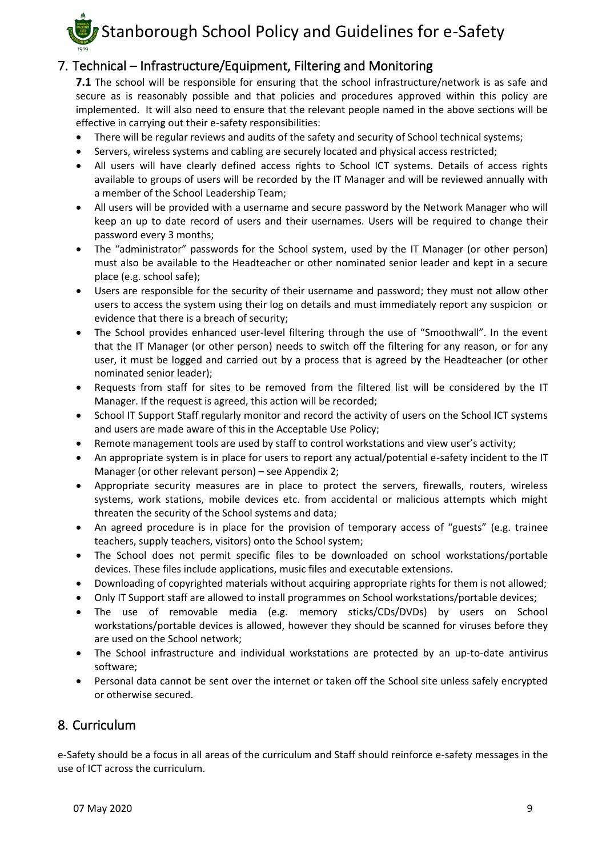

#### <span id="page-8-0"></span>7. Technical – Infrastructure/Equipment, Filtering and Monitoring

**7.1** The school will be responsible for ensuring that the school infrastructure/network is as safe and secure as is reasonably possible and that policies and procedures approved within this policy are implemented. It will also need to ensure that the relevant people named in the above sections will be effective in carrying out their e-safety responsibilities:

- There will be regular reviews and audits of the safety and security of School technical systems;
- Servers, wireless systems and cabling are securely located and physical access restricted;
- All users will have clearly defined access rights to School ICT systems. Details of access rights available to groups of users will be recorded by the IT Manager and will be reviewed annually with a member of the School Leadership Team;
- All users will be provided with a username and secure password by the Network Manager who will keep an up to date record of users and their usernames. Users will be required to change their password every 3 months;
- The "administrator" passwords for the School system, used by the IT Manager (or other person) must also be available to the Headteacher or other nominated senior leader and kept in a secure place (e.g. school safe);
- Users are responsible for the security of their username and password; they must not allow other users to access the system using their log on details and must immediately report any suspicion or evidence that there is a breach of security;
- The School provides enhanced user-level filtering through the use of "Smoothwall". In the event that the IT Manager (or other person) needs to switch off the filtering for any reason, or for any user, it must be logged and carried out by a process that is agreed by the Headteacher (or other nominated senior leader);
- Requests from staff for sites to be removed from the filtered list will be considered by the IT Manager. If the request is agreed, this action will be recorded;
- School IT Support Staff regularly monitor and record the activity of users on the School ICT systems and users are made aware of this in the Acceptable Use Policy;
- Remote management tools are used by staff to control workstations and view user's activity;
- An appropriate system is in place for users to report any actual/potential e-safety incident to the IT Manager (or other relevant person) – see Appendix 2;
- Appropriate security measures are in place to protect the servers, firewalls, routers, wireless systems, work stations, mobile devices etc. from accidental or malicious attempts which might threaten the security of the School systems and data;
- An agreed procedure is in place for the provision of temporary access of "guests" (e.g. trainee teachers, supply teachers, visitors) onto the School system;
- The School does not permit specific files to be downloaded on school workstations/portable devices. These files include applications, music files and executable extensions.
- Downloading of copyrighted materials without acquiring appropriate rights for them is not allowed;
- Only IT Support staff are allowed to install programmes on School workstations/portable devices;
- The use of removable media (e.g. memory sticks/CDs/DVDs) by users on School workstations/portable devices is allowed, however they should be scanned for viruses before they are used on the School network;
- The School infrastructure and individual workstations are protected by an up-to-date antivirus software;
- Personal data cannot be sent over the internet or taken off the School site unless safely encrypted or otherwise secured.

#### <span id="page-8-1"></span>8. Curriculum

e-Safety should be a focus in all areas of the curriculum and Staff should reinforce e-safety messages in the use of ICT across the curriculum.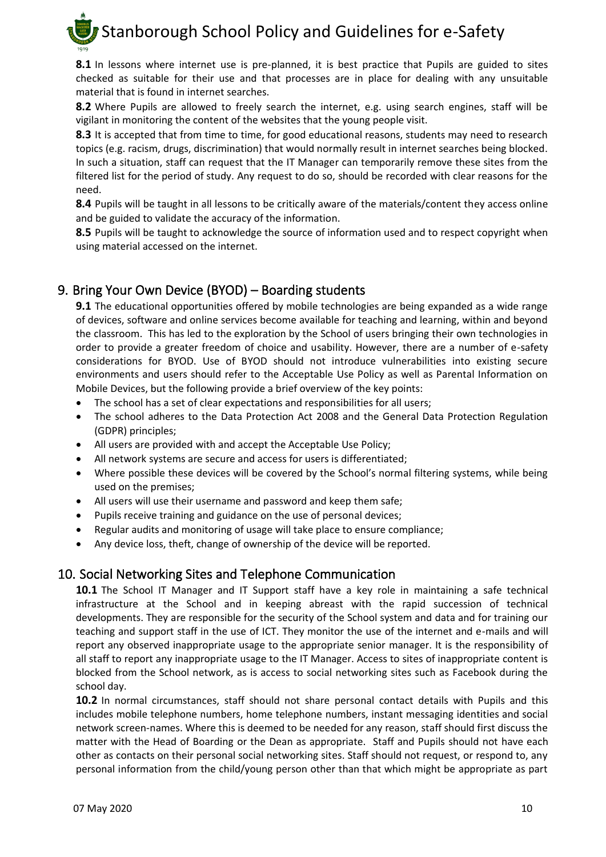**8.1** In lessons where internet use is pre-planned, it is best practice that Pupils are guided to sites checked as suitable for their use and that processes are in place for dealing with any unsuitable material that is found in internet searches.

**8.2** Where Pupils are allowed to freely search the internet, e.g. using search engines, staff will be vigilant in monitoring the content of the websites that the young people visit.

**8.3** It is accepted that from time to time, for good educational reasons, students may need to research topics (e.g. racism, drugs, discrimination) that would normally result in internet searches being blocked. In such a situation, staff can request that the IT Manager can temporarily remove these sites from the filtered list for the period of study. Any request to do so, should be recorded with clear reasons for the need.

**8.4** Pupils will be taught in all lessons to be critically aware of the materials/content they access online and be guided to validate the accuracy of the information.

8.5 Pupils will be taught to acknowledge the source of information used and to respect copyright when using material accessed on the internet.

#### <span id="page-9-0"></span>9. Bring Your Own Device (BYOD) – Boarding students

**9.1** The educational opportunities offered by mobile technologies are being expanded as a wide range of devices, software and online services become available for teaching and learning, within and beyond the classroom. This has led to the exploration by the School of users bringing their own technologies in order to provide a greater freedom of choice and usability. However, there are a number of e-safety considerations for BYOD. Use of BYOD should not introduce vulnerabilities into existing secure environments and users should refer to the Acceptable Use Policy as well as Parental Information on Mobile Devices, but the following provide a brief overview of the key points:

- The school has a set of clear expectations and responsibilities for all users;
- The school adheres to the Data Protection Act 2008 and the General Data Protection Regulation (GDPR) principles;
- All users are provided with and accept the Acceptable Use Policy;
- All network systems are secure and access for users is differentiated;
- Where possible these devices will be covered by the School's normal filtering systems, while being used on the premises;
- All users will use their username and password and keep them safe;
- Pupils receive training and guidance on the use of personal devices;
- Regular audits and monitoring of usage will take place to ensure compliance;
- Any device loss, theft, change of ownership of the device will be reported.

#### <span id="page-9-1"></span>10. Social Networking Sites and Telephone Communication

**10.1** The School IT Manager and IT Support staff have a key role in maintaining a safe technical infrastructure at the School and in keeping abreast with the rapid succession of technical developments. They are responsible for the security of the School system and data and for training our teaching and support staff in the use of ICT. They monitor the use of the internet and e-mails and will report any observed inappropriate usage to the appropriate senior manager. It is the responsibility of all staff to report any inappropriate usage to the IT Manager. Access to sites of inappropriate content is blocked from the School network, as is access to social networking sites such as Facebook during the school day.

**10.2** In normal circumstances, staff should not share personal contact details with Pupils and this includes mobile telephone numbers, home telephone numbers, instant messaging identities and social network screen-names. Where this is deemed to be needed for any reason, staff should first discuss the matter with the Head of Boarding or the Dean as appropriate. Staff and Pupils should not have each other as contacts on their personal social networking sites. Staff should not request, or respond to, any personal information from the child/young person other than that which might be appropriate as part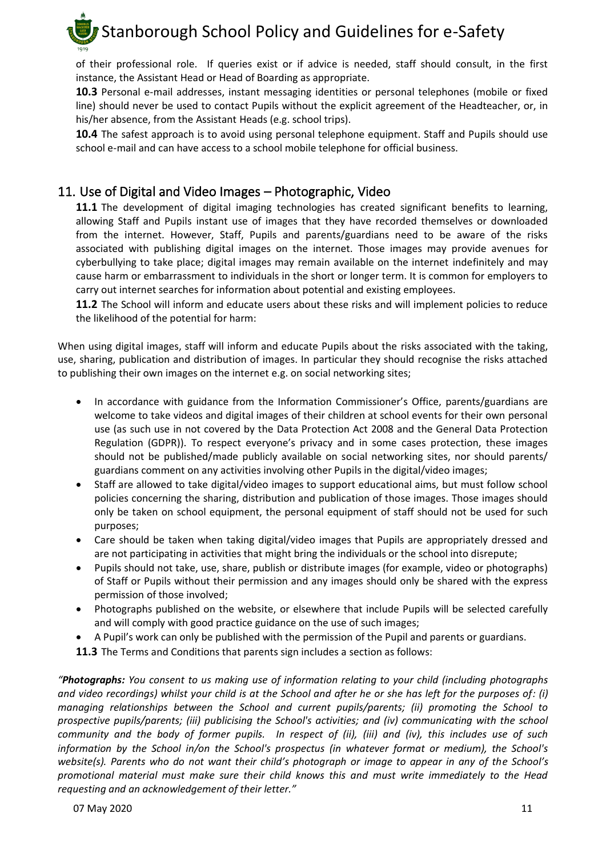of their professional role. If queries exist or if advice is needed, staff should consult, in the first instance, the Assistant Head or Head of Boarding as appropriate.

**10.3** Personal e-mail addresses, instant messaging identities or personal telephones (mobile or fixed line) should never be used to contact Pupils without the explicit agreement of the Headteacher, or, in his/her absence, from the Assistant Heads (e.g. school trips).

**10.4** The safest approach is to avoid using personal telephone equipment. Staff and Pupils should use school e-mail and can have access to a school mobile telephone for official business.

#### <span id="page-10-0"></span>11. Use of Digital and Video Images – Photographic, Video

**11.1** The development of digital imaging technologies has created significant benefits to learning, allowing Staff and Pupils instant use of images that they have recorded themselves or downloaded from the internet. However, Staff, Pupils and parents/guardians need to be aware of the risks associated with publishing digital images on the internet. Those images may provide avenues for cyberbullying to take place; digital images may remain available on the internet indefinitely and may cause harm or embarrassment to individuals in the short or longer term. It is common for employers to carry out internet searches for information about potential and existing employees.

**11.2** The School will inform and educate users about these risks and will implement policies to reduce the likelihood of the potential for harm:

When using digital images, staff will inform and educate Pupils about the risks associated with the taking, use, sharing, publication and distribution of images. In particular they should recognise the risks attached to publishing their own images on the internet e.g. on social networking sites;

- In accordance with guidance from the Information Commissioner's Office, parents/guardians are welcome to take videos and digital images of their children at school events for their own personal use (as such use in not covered by the Data Protection Act 2008 and the General Data Protection Regulation (GDPR)). To respect everyone's privacy and in some cases protection, these images should not be published/made publicly available on social networking sites, nor should parents/ guardians comment on any activities involving other Pupils in the digital/video images;
- Staff are allowed to take digital/video images to support educational aims, but must follow school policies concerning the sharing, distribution and publication of those images. Those images should only be taken on school equipment, the personal equipment of staff should not be used for such purposes;
- Care should be taken when taking digital/video images that Pupils are appropriately dressed and are not participating in activities that might bring the individuals or the school into disrepute;
- Pupils should not take, use, share, publish or distribute images (for example, video or photographs) of Staff or Pupils without their permission and any images should only be shared with the express permission of those involved;
- Photographs published on the website, or elsewhere that include Pupils will be selected carefully and will comply with good practice guidance on the use of such images;
- A Pupil's work can only be published with the permission of the Pupil and parents or guardians.
- **11.3** The Terms and Conditions that parents sign includes a section as follows:

*"Photographs: You consent to us making use of information relating to your child (including photographs and video recordings) whilst your child is at the School and after he or she has left for the purposes of: (i) managing relationships between the School and current pupils/parents; (ii) promoting the School to prospective pupils/parents; (iii) publicising the School's activities; and (iv) communicating with the school community and the body of former pupils. In respect of (ii), (iii) and (iv), this includes use of such information by the School in/on the School's prospectus (in whatever format or medium), the School's website(s). Parents who do not want their child's photograph or image to appear in any of the School's promotional material must make sure their child knows this and must write immediately to the Head requesting and an acknowledgement of their letter."*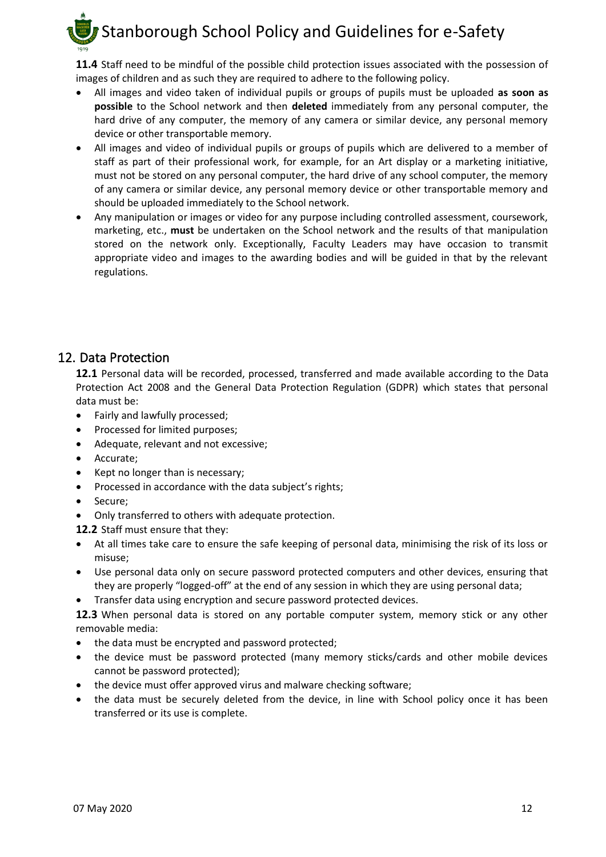**11.4** Staff need to be mindful of the possible child protection issues associated with the possession of images of children and as such they are required to adhere to the following policy.

- All images and video taken of individual pupils or groups of pupils must be uploaded **as soon as possible** to the School network and then **deleted** immediately from any personal computer, the hard drive of any computer, the memory of any camera or similar device, any personal memory device or other transportable memory.
- All images and video of individual pupils or groups of pupils which are delivered to a member of staff as part of their professional work, for example, for an Art display or a marketing initiative, must not be stored on any personal computer, the hard drive of any school computer, the memory of any camera or similar device, any personal memory device or other transportable memory and should be uploaded immediately to the School network.
- Any manipulation or images or video for any purpose including controlled assessment, coursework, marketing, etc., **must** be undertaken on the School network and the results of that manipulation stored on the network only. Exceptionally, Faculty Leaders may have occasion to transmit appropriate video and images to the awarding bodies and will be guided in that by the relevant regulations.

#### <span id="page-11-0"></span>12. Data Protection

**12.1** Personal data will be recorded, processed, transferred and made available according to the Data Protection Act 2008 and the General Data Protection Regulation (GDPR) which states that personal data must be:

- Fairly and lawfully processed;
- Processed for limited purposes;
- Adequate, relevant and not excessive;
- Accurate;
- Kept no longer than is necessary;
- Processed in accordance with the data subject's rights;
- Secure;
- Only transferred to others with adequate protection.
- **12.2** Staff must ensure that they:
- At all times take care to ensure the safe keeping of personal data, minimising the risk of its loss or misuse;
- Use personal data only on secure password protected computers and other devices, ensuring that they are properly "logged-off" at the end of any session in which they are using personal data;
- Transfer data using encryption and secure password protected devices.

**12.3** When personal data is stored on any portable computer system, memory stick or any other removable media:

- the data must be encrypted and password protected;
- the device must be password protected (many memory sticks/cards and other mobile devices cannot be password protected);
- the device must offer approved virus and malware checking software;
- the data must be securely deleted from the device, in line with School policy once it has been transferred or its use is complete.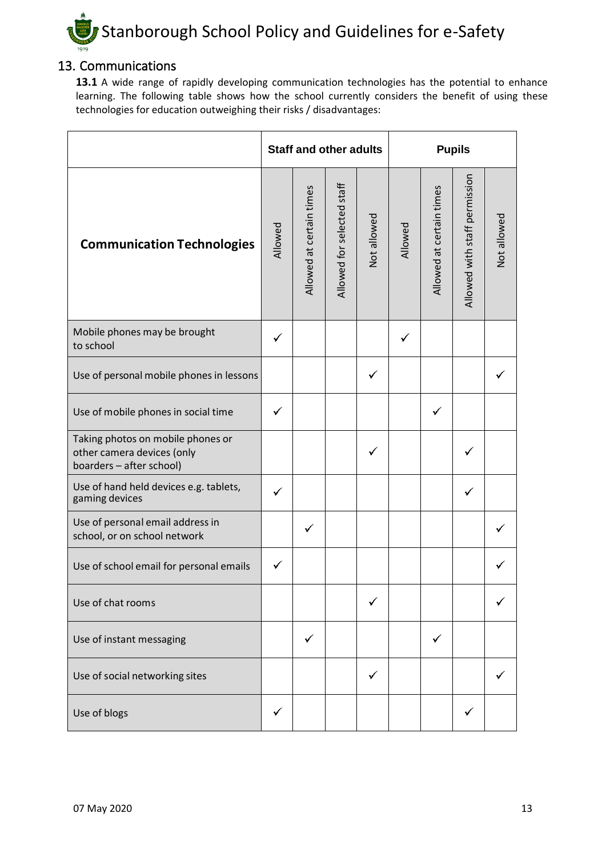

#### <span id="page-12-0"></span>13. Communications

13.1 A wide range of rapidly developing communication technologies has the potential to enhance learning. The following table shows how the school currently considers the benefit of using these technologies for education outweighing their risks / disadvantages:

|                                                                                             |              | <b>Staff and other adults</b> |                            |             | <b>Pupils</b> |                          |                               |             |
|---------------------------------------------------------------------------------------------|--------------|-------------------------------|----------------------------|-------------|---------------|--------------------------|-------------------------------|-------------|
| <b>Communication Technologies</b>                                                           | Allowed      | Allowed at certain times      | Allowed for selected staff | Not allowed | Allowed       | Allowed at certain times | Allowed with staff permission | Not allowed |
| Mobile phones may be brought<br>to school                                                   | ✓            |                               |                            |             | ✓             |                          |                               |             |
| Use of personal mobile phones in lessons                                                    |              |                               |                            |             |               |                          |                               |             |
| Use of mobile phones in social time                                                         |              |                               |                            |             |               | ✓                        |                               |             |
| Taking photos on mobile phones or<br>other camera devices (only<br>boarders - after school) |              |                               |                            |             |               |                          |                               |             |
| Use of hand held devices e.g. tablets,<br>gaming devices                                    |              |                               |                            |             |               |                          |                               |             |
| Use of personal email address in<br>school, or on school network                            |              | ✓                             |                            |             |               |                          |                               |             |
| Use of school email for personal emails                                                     |              |                               |                            |             |               |                          |                               |             |
| Use of chat rooms                                                                           |              |                               |                            |             |               |                          |                               |             |
| Use of instant messaging                                                                    |              | ✓                             |                            |             |               | ✓                        |                               |             |
| Use of social networking sites                                                              |              |                               |                            | ✓           |               |                          |                               |             |
| Use of blogs                                                                                | $\checkmark$ |                               |                            |             |               |                          |                               |             |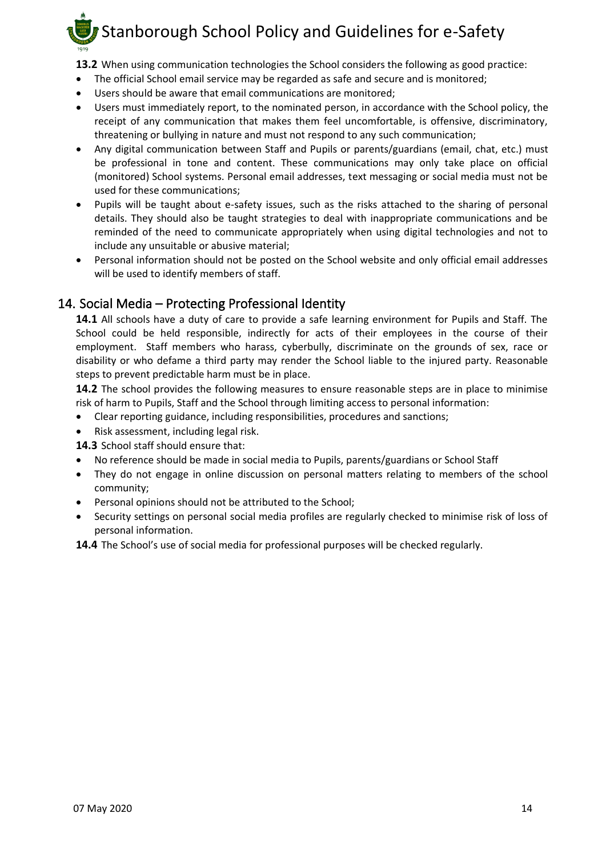- **13.2** When using communication technologies the School considers the following as good practice:
- The official School email service may be regarded as safe and secure and is monitored;
- Users should be aware that email communications are monitored;
- Users must immediately report, to the nominated person, in accordance with the School policy, the receipt of any communication that makes them feel uncomfortable, is offensive, discriminatory, threatening or bullying in nature and must not respond to any such communication;
- Any digital communication between Staff and Pupils or parents/guardians (email, chat, etc.) must be professional in tone and content. These communications may only take place on official (monitored) School systems. Personal email addresses, text messaging or social media must not be used for these communications;
- Pupils will be taught about e-safety issues, such as the risks attached to the sharing of personal details. They should also be taught strategies to deal with inappropriate communications and be reminded of the need to communicate appropriately when using digital technologies and not to include any unsuitable or abusive material;
- Personal information should not be posted on the School website and only official email addresses will be used to identify members of staff.

#### <span id="page-13-0"></span>14. Social Media – Protecting Professional Identity

**14.1** All schools have a duty of care to provide a safe learning environment for Pupils and Staff. The School could be held responsible, indirectly for acts of their employees in the course of their employment. Staff members who harass, cyberbully, discriminate on the grounds of sex, race or disability or who defame a third party may render the School liable to the injured party. Reasonable steps to prevent predictable harm must be in place.

**14.2** The school provides the following measures to ensure reasonable steps are in place to minimise risk of harm to Pupils, Staff and the School through limiting access to personal information:

- Clear reporting guidance, including responsibilities, procedures and sanctions;
- Risk assessment, including legal risk.

**14.3** School staff should ensure that:

- No reference should be made in social media to Pupils, parents/guardians or School Staff
- They do not engage in online discussion on personal matters relating to members of the school community;
- Personal opinions should not be attributed to the School;
- Security settings on personal social media profiles are regularly checked to minimise risk of loss of personal information.

**14.4** The School's use of social media for professional purposes will be checked regularly.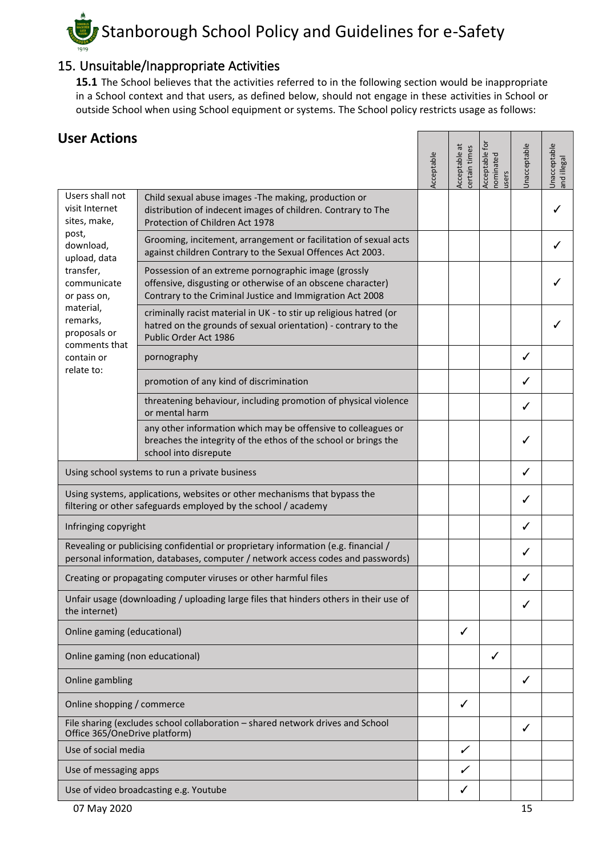#### <span id="page-14-0"></span>15. Unsuitable/Inappropriate Activities

**15.1** The School believes that the activities referred to in the following section would be inappropriate in a School context and that users, as defined below, should not engage in these activities in School or outside School when using School equipment or systems. The School policy restricts usage as follows:

| <b>User Actions</b>                                                                                                                                                   |                                                                                                                                                                                  |            |                               | ā                                |              |                             |
|-----------------------------------------------------------------------------------------------------------------------------------------------------------------------|----------------------------------------------------------------------------------------------------------------------------------------------------------------------------------|------------|-------------------------------|----------------------------------|--------------|-----------------------------|
|                                                                                                                                                                       |                                                                                                                                                                                  | Acceptable | Acceptable at<br>ertain times | Acceptable<br>nominated<br>users | Jnacceptable | Unacceptable<br>and illegal |
| Users shall not<br>visit Internet<br>sites, make,                                                                                                                     | Child sexual abuse images - The making, production or<br>distribution of indecent images of children. Contrary to The<br>Protection of Children Act 1978                         |            |                               |                                  |              |                             |
| post,<br>download,<br>upload, data                                                                                                                                    | Grooming, incitement, arrangement or facilitation of sexual acts<br>against children Contrary to the Sexual Offences Act 2003.                                                   |            |                               |                                  |              | ✓                           |
| transfer,<br>communicate<br>or pass on,                                                                                                                               | Possession of an extreme pornographic image (grossly<br>offensive, disgusting or otherwise of an obscene character)<br>Contrary to the Criminal Justice and Immigration Act 2008 |            |                               |                                  |              |                             |
| material,<br>remarks,<br>proposals or<br>comments that                                                                                                                | criminally racist material in UK - to stir up religious hatred (or<br>hatred on the grounds of sexual orientation) - contrary to the<br>Public Order Act 1986                    |            |                               |                                  |              |                             |
| contain or<br>relate to:                                                                                                                                              | pornography                                                                                                                                                                      |            |                               |                                  | ✓            |                             |
|                                                                                                                                                                       | promotion of any kind of discrimination                                                                                                                                          |            |                               |                                  | ✓            |                             |
|                                                                                                                                                                       | threatening behaviour, including promotion of physical violence<br>or mental harm                                                                                                |            |                               |                                  | J            |                             |
|                                                                                                                                                                       | any other information which may be offensive to colleagues or<br>breaches the integrity of the ethos of the school or brings the<br>school into disrepute                        |            |                               |                                  | ✓            |                             |
| Using school systems to run a private business                                                                                                                        |                                                                                                                                                                                  |            |                               |                                  | ✓            |                             |
| Using systems, applications, websites or other mechanisms that bypass the<br>filtering or other safeguards employed by the school / academy                           |                                                                                                                                                                                  |            |                               |                                  | ✓            |                             |
| Infringing copyright                                                                                                                                                  |                                                                                                                                                                                  |            |                               |                                  | ✓            |                             |
| Revealing or publicising confidential or proprietary information (e.g. financial /<br>personal information, databases, computer / network access codes and passwords) |                                                                                                                                                                                  |            |                               |                                  | ✓            |                             |
|                                                                                                                                                                       | Creating or propagating computer viruses or other harmful files                                                                                                                  |            |                               |                                  |              |                             |
| the internet)                                                                                                                                                         | Unfair usage (downloading / uploading large files that hinders others in their use of                                                                                            |            |                               |                                  | $\checkmark$ |                             |
| Online gaming (educational)                                                                                                                                           |                                                                                                                                                                                  |            | ✓                             |                                  |              |                             |
| Online gaming (non educational)                                                                                                                                       |                                                                                                                                                                                  |            |                               | ✓                                |              |                             |
| Online gambling                                                                                                                                                       |                                                                                                                                                                                  |            |                               |                                  | ✓            |                             |
| Online shopping / commerce                                                                                                                                            |                                                                                                                                                                                  |            | ✓                             |                                  |              |                             |
| File sharing (excludes school collaboration - shared network drives and School<br>Office 365/OneDrive platform)                                                       |                                                                                                                                                                                  |            |                               |                                  | ✓            |                             |
| Use of social media                                                                                                                                                   |                                                                                                                                                                                  |            | ✓                             |                                  |              |                             |
| Use of messaging apps                                                                                                                                                 |                                                                                                                                                                                  |            | ╱                             |                                  |              |                             |
| Use of video broadcasting e.g. Youtube                                                                                                                                |                                                                                                                                                                                  |            |                               |                                  |              |                             |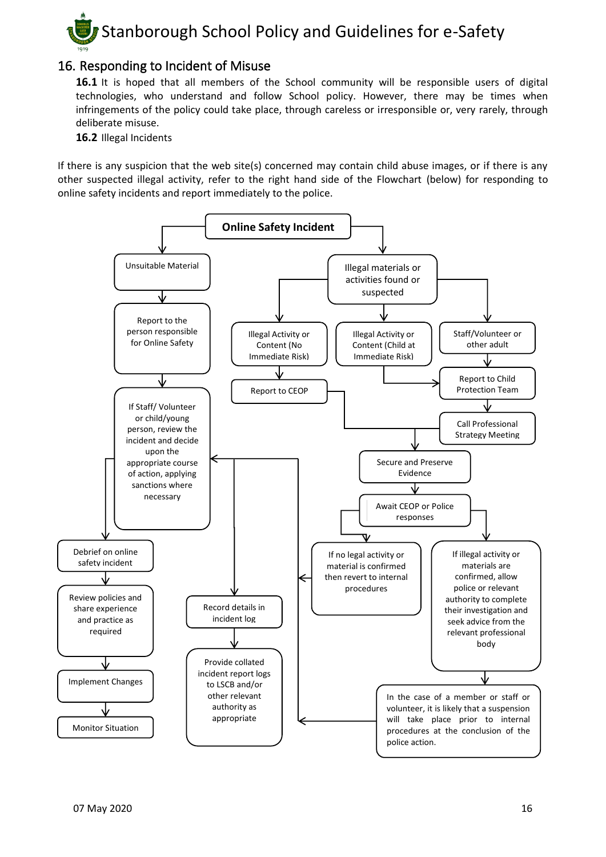

#### <span id="page-15-0"></span>16. Responding to Incident of Misuse

16.1 It is hoped that all members of the School community will be responsible users of digital technologies, who understand and follow School policy. However, there may be times when infringements of the policy could take place, through careless or irresponsible or, very rarely, through deliberate misuse.

**16.2** Illegal Incidents

If there is any suspicion that the web site(s) concerned may contain child abuse images, or if there is any other suspected illegal activity, refer to the right hand side of the Flowchart (below) for responding to online safety incidents and report immediately to the police.

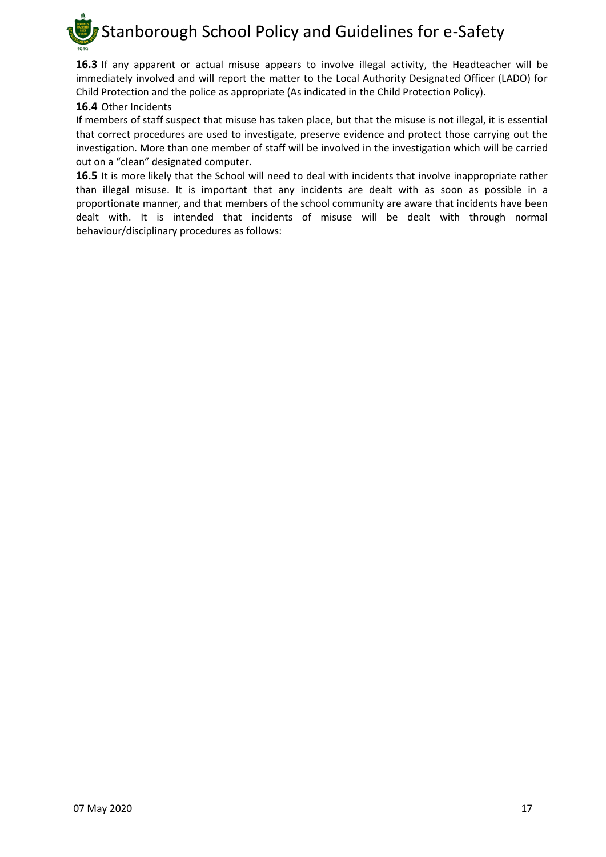

**16.3** If any apparent or actual misuse appears to involve illegal activity, the Headteacher will be immediately involved and will report the matter to the Local Authority Designated Officer (LADO) for Child Protection and the police as appropriate (As indicated in the Child Protection Policy).

#### **16.4** Other Incidents

If members of staff suspect that misuse has taken place, but that the misuse is not illegal, it is essential that correct procedures are used to investigate, preserve evidence and protect those carrying out the investigation. More than one member of staff will be involved in the investigation which will be carried out on a "clean" designated computer.

**16.5** It is more likely that the School will need to deal with incidents that involve inappropriate rather than illegal misuse. It is important that any incidents are dealt with as soon as possible in a proportionate manner, and that members of the school community are aware that incidents have been dealt with. It is intended that incidents of misuse will be dealt with through normal behaviour/disciplinary procedures as follows: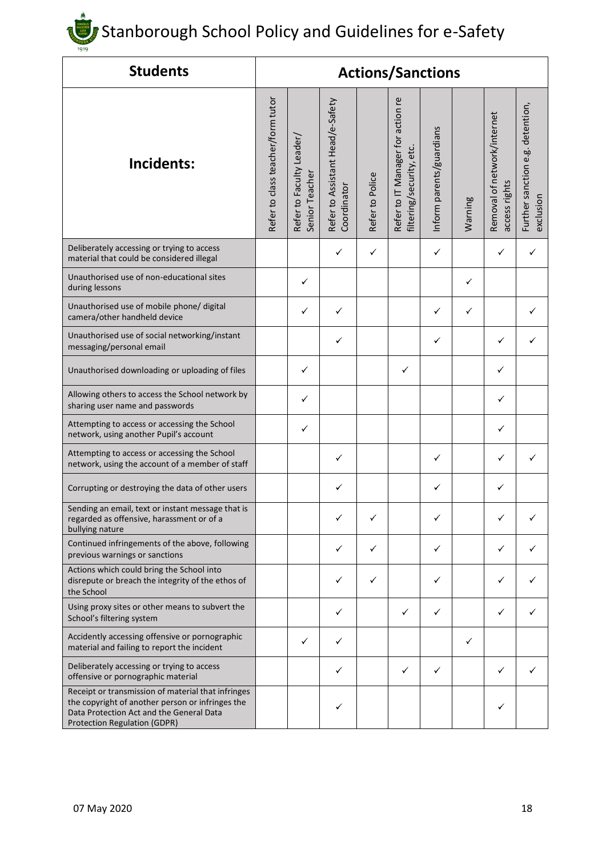| <b>Students</b>                                                                                                                                                                           |                                   |                                           |                                                 |                 | <b>Actions/Sanctions</b>                                      |                          |         |                                              |                                               |
|-------------------------------------------------------------------------------------------------------------------------------------------------------------------------------------------|-----------------------------------|-------------------------------------------|-------------------------------------------------|-----------------|---------------------------------------------------------------|--------------------------|---------|----------------------------------------------|-----------------------------------------------|
| Incidents:                                                                                                                                                                                | Refer to class teacher/form tutor | Refer to Faculty Leader<br>Senior Teacher | Refer to Assistant Head/e-Safety<br>Coordinator | Refer to Police | Refer to IT Manager for action re<br>filtering/security, etc. | Inform parents/guardians | Warning | Removal of network/internet<br>access rights | Further sanction e.g. detention,<br>exclusion |
| Deliberately accessing or trying to access<br>material that could be considered illegal                                                                                                   |                                   |                                           | ✓                                               | ✓               |                                                               | $\checkmark$             |         | ✓                                            | ✓                                             |
| Unauthorised use of non-educational sites<br>during lessons                                                                                                                               |                                   | ✓                                         |                                                 |                 |                                                               |                          | ✓       |                                              |                                               |
| Unauthorised use of mobile phone/ digital<br>camera/other handheld device                                                                                                                 |                                   | ✓                                         | ✓                                               |                 |                                                               | ✓                        | ✓       |                                              |                                               |
| Unauthorised use of social networking/instant<br>messaging/personal email                                                                                                                 |                                   |                                           | ✓                                               |                 |                                                               | ✓                        |         | ✓                                            |                                               |
| Unauthorised downloading or uploading of files                                                                                                                                            |                                   | ✓                                         |                                                 |                 | ✓                                                             |                          |         | ✓                                            |                                               |
| Allowing others to access the School network by<br>sharing user name and passwords                                                                                                        |                                   | ✓                                         |                                                 |                 |                                                               |                          |         | ✓                                            |                                               |
| Attempting to access or accessing the School<br>network, using another Pupil's account                                                                                                    |                                   | ✓                                         |                                                 |                 |                                                               |                          |         | ✓                                            |                                               |
| Attempting to access or accessing the School<br>network, using the account of a member of staff                                                                                           |                                   |                                           | ✓                                               |                 |                                                               | ✓                        |         | ✓                                            |                                               |
| Corrupting or destroying the data of other users                                                                                                                                          |                                   |                                           | ✓                                               |                 |                                                               | ✓                        |         | ✓                                            |                                               |
| Sending an email, text or instant message that is<br>regarded as offensive, harassment or of a<br>bullying nature                                                                         |                                   |                                           |                                                 |                 |                                                               | ✓                        |         | ✓                                            |                                               |
| Continued infringements of the above, following<br>previous warnings or sanctions                                                                                                         |                                   |                                           | ✓                                               | ✓               |                                                               | ✓                        |         | ✓                                            |                                               |
| Actions which could bring the School into<br>disrepute or breach the integrity of the ethos of<br>the School                                                                              |                                   |                                           | ✓                                               | ✓               |                                                               | ✓                        |         | ✓                                            |                                               |
| Using proxy sites or other means to subvert the<br>School's filtering system                                                                                                              |                                   |                                           | ✓                                               |                 | ✓                                                             | ✓                        |         | ✓                                            |                                               |
| Accidently accessing offensive or pornographic<br>material and failing to report the incident                                                                                             |                                   | ✓                                         | ✓                                               |                 |                                                               |                          | ✓       |                                              |                                               |
| Deliberately accessing or trying to access<br>offensive or pornographic material                                                                                                          |                                   |                                           | ✓                                               |                 | ✓                                                             | ✓                        |         | ✓                                            |                                               |
| Receipt or transmission of material that infringes<br>the copyright of another person or infringes the<br>Data Protection Act and the General Data<br><b>Protection Regulation (GDPR)</b> |                                   |                                           | ✓                                               |                 |                                                               |                          |         | ✓                                            |                                               |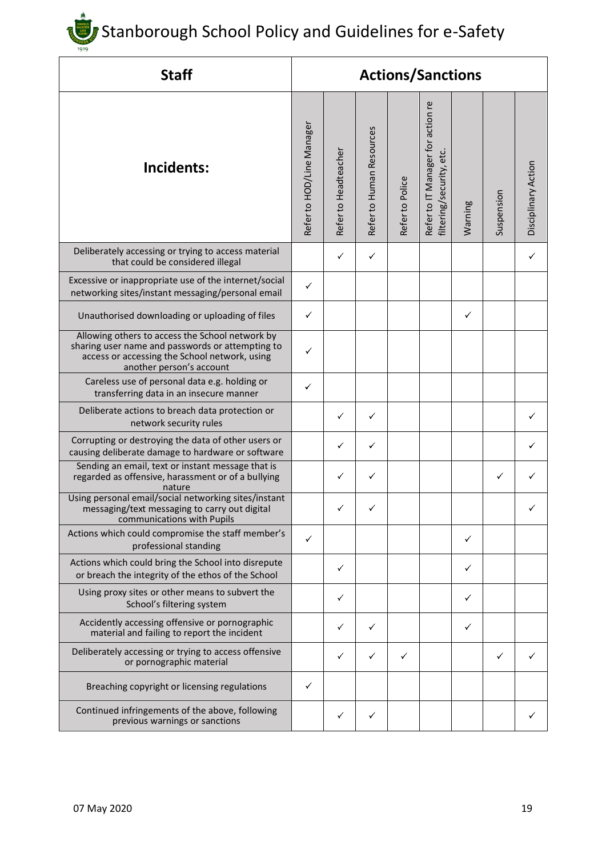| <b>Staff</b>                                                                                                                                                                     | <b>Actions/Sanctions</b>  |                      |                          |                 |                                                               |         |            |                     |
|----------------------------------------------------------------------------------------------------------------------------------------------------------------------------------|---------------------------|----------------------|--------------------------|-----------------|---------------------------------------------------------------|---------|------------|---------------------|
| Incidents:                                                                                                                                                                       | Refer to HOD/Line Manager | Refer to Headteacher | Refer to Human Resources | Refer to Police | Refer to IT Manager for action re<br>filtering/security, etc. | Warning | Suspension | Disciplinary Action |
| Deliberately accessing or trying to access material<br>that could be considered illegal                                                                                          |                           | ✓                    | ✓                        |                 |                                                               |         |            | ✓                   |
| Excessive or inappropriate use of the internet/social<br>networking sites/instant messaging/personal email                                                                       | ✓                         |                      |                          |                 |                                                               |         |            |                     |
| Unauthorised downloading or uploading of files                                                                                                                                   | ✓                         |                      |                          |                 |                                                               | ✓       |            |                     |
| Allowing others to access the School network by<br>sharing user name and passwords or attempting to<br>access or accessing the School network, using<br>another person's account | ✓                         |                      |                          |                 |                                                               |         |            |                     |
| Careless use of personal data e.g. holding or<br>transferring data in an insecure manner                                                                                         | ✓                         |                      |                          |                 |                                                               |         |            |                     |
| Deliberate actions to breach data protection or<br>network security rules                                                                                                        |                           | ✓                    | ✓                        |                 |                                                               |         |            |                     |
| Corrupting or destroying the data of other users or<br>causing deliberate damage to hardware or software                                                                         |                           | ✓                    | ✓                        |                 |                                                               |         |            | ✓                   |
| Sending an email, text or instant message that is<br>regarded as offensive, harassment or of a bullying<br>nature                                                                |                           | ✓                    | ✓                        |                 |                                                               |         | ✓          |                     |
| Using personal email/social networking sites/instant<br>messaging/text messaging to carry out digital<br>communications with Pupils                                              |                           | ✓                    |                          |                 |                                                               |         |            |                     |
| Actions which could compromise the staff member's<br>professional standing                                                                                                       | ✓                         |                      |                          |                 |                                                               | ✓       |            |                     |
| Actions which could bring the School into disrepute<br>or breach the integrity of the ethos of the School                                                                        |                           | ✓                    |                          |                 |                                                               | ✓       |            |                     |
| Using proxy sites or other means to subvert the<br>School's filtering system                                                                                                     |                           | ✓                    |                          |                 |                                                               | ✓       |            |                     |
| Accidently accessing offensive or pornographic<br>material and failing to report the incident                                                                                    |                           | ✓                    | ✓                        |                 |                                                               | ✓       |            |                     |
| Deliberately accessing or trying to access offensive<br>or pornographic material                                                                                                 |                           | ✓                    | ✓                        | ✓               |                                                               |         | ✓          |                     |
| Breaching copyright or licensing regulations                                                                                                                                     | ✓                         |                      |                          |                 |                                                               |         |            |                     |
| Continued infringements of the above, following<br>previous warnings or sanctions                                                                                                |                           |                      | ✓                        |                 |                                                               |         |            |                     |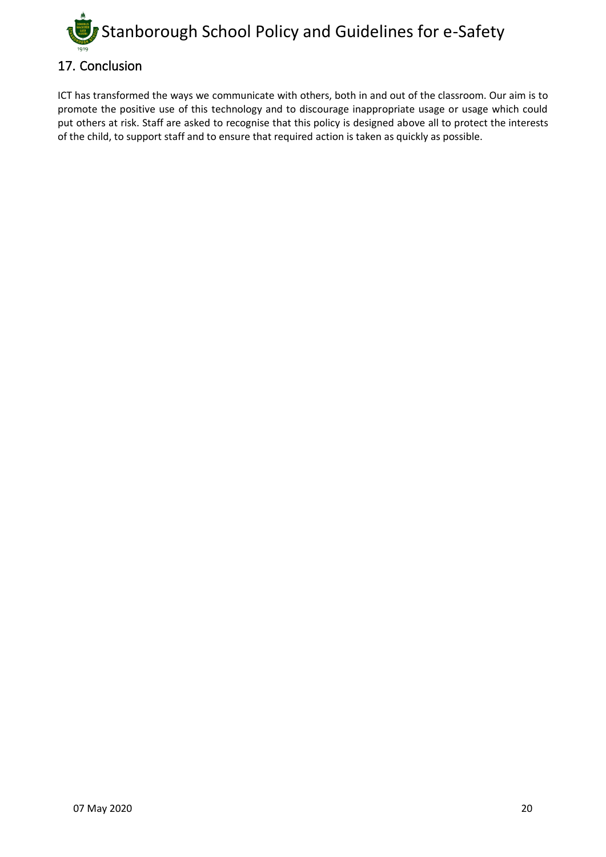

<span id="page-19-0"></span>ICT has transformed the ways we communicate with others, both in and out of the classroom. Our aim is to promote the positive use of this technology and to discourage inappropriate usage or usage which could put others at risk. Staff are asked to recognise that this policy is designed above all to protect the interests of the child, to support staff and to ensure that required action is taken as quickly as possible.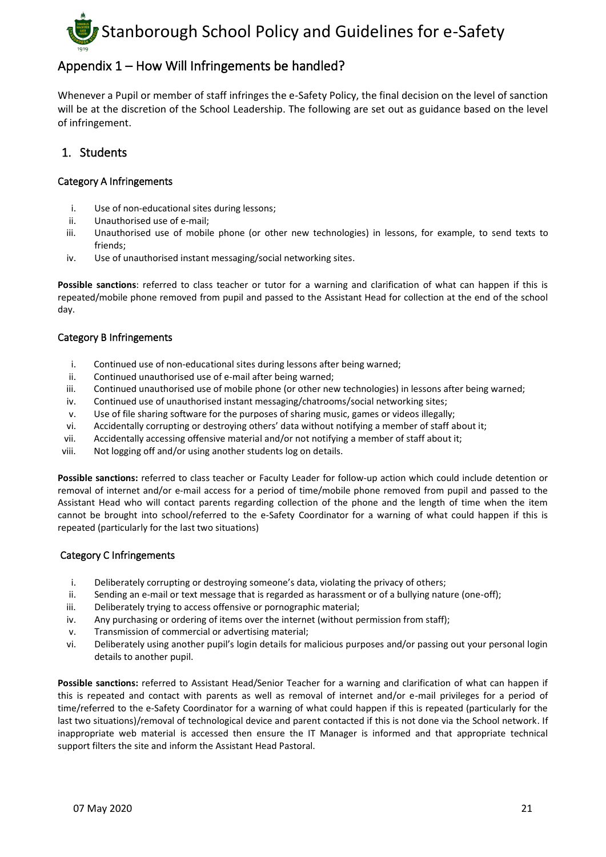

#### <span id="page-20-0"></span>Appendix 1 – How Will Infringements be handled?

Whenever a Pupil or member of staff infringes the e-Safety Policy, the final decision on the level of sanction will be at the discretion of the School Leadership. The following are set out as guidance based on the level of infringement.

#### <span id="page-20-1"></span>1. Students

#### <span id="page-20-2"></span>Category A Infringements

- i. Use of non-educational sites during lessons;
- ii. Unauthorised use of e-mail;
- iii. Unauthorised use of mobile phone (or other new technologies) in lessons, for example, to send texts to friends;
- iv. Use of unauthorised instant messaging/social networking sites.

**Possible sanctions**: referred to class teacher or tutor for a warning and clarification of what can happen if this is repeated/mobile phone removed from pupil and passed to the Assistant Head for collection at the end of the school day.

#### <span id="page-20-3"></span>Category B Infringements

- i. Continued use of non-educational sites during lessons after being warned;
- ii. Continued unauthorised use of e-mail after being warned;
- iii. Continued unauthorised use of mobile phone (or other new technologies) in lessons after being warned;
- iv. Continued use of unauthorised instant messaging/chatrooms/social networking sites;
- v. Use of file sharing software for the purposes of sharing music, games or videos illegally;
- vi. Accidentally corrupting or destroying others' data without notifying a member of staff about it;
- vii. Accidentally accessing offensive material and/or not notifying a member of staff about it;
- viii. Not logging off and/or using another students log on details.

**Possible sanctions:** referred to class teacher or Faculty Leader for follow-up action which could include detention or removal of internet and/or e-mail access for a period of time/mobile phone removed from pupil and passed to the Assistant Head who will contact parents regarding collection of the phone and the length of time when the item cannot be brought into school/referred to the e-Safety Coordinator for a warning of what could happen if this is repeated (particularly for the last two situations)

#### <span id="page-20-4"></span>Category C Infringements

- i. Deliberately corrupting or destroying someone's data, violating the privacy of others;
- ii. Sending an e-mail or text message that is regarded as harassment or of a bullying nature (one-off);
- iii. Deliberately trying to access offensive or pornographic material;
- iv. Any purchasing or ordering of items over the internet (without permission from staff);
- v. Transmission of commercial or advertising material;
- vi. Deliberately using another pupil's login details for malicious purposes and/or passing out your personal login details to another pupil.

**Possible sanctions:** referred to Assistant Head/Senior Teacher for a warning and clarification of what can happen if this is repeated and contact with parents as well as removal of internet and/or e-mail privileges for a period of time/referred to the e-Safety Coordinator for a warning of what could happen if this is repeated (particularly for the last two situations)/removal of technological device and parent contacted if this is not done via the School network. If inappropriate web material is accessed then ensure the IT Manager is informed and that appropriate technical support filters the site and inform the Assistant Head Pastoral.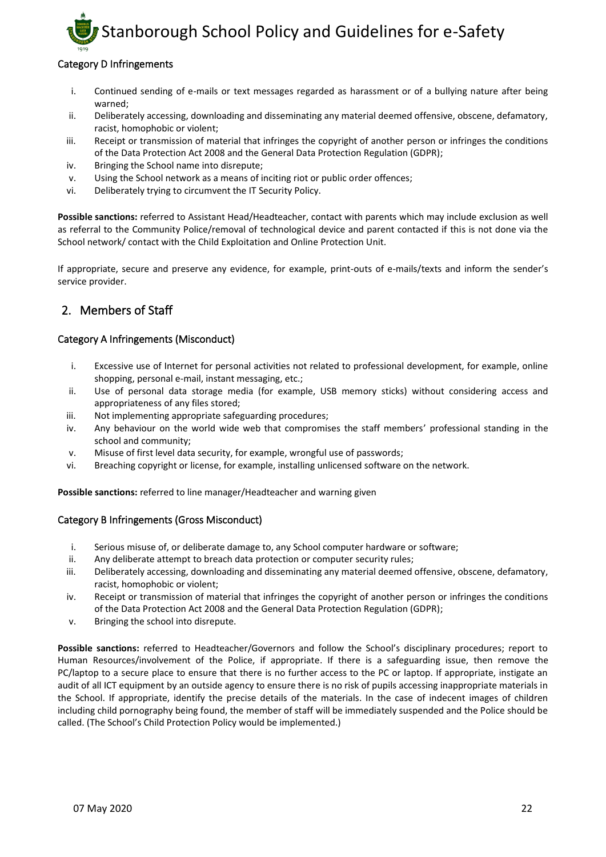#### <span id="page-21-0"></span>Category D Infringements

- i. Continued sending of e-mails or text messages regarded as harassment or of a bullying nature after being warned;
- ii. Deliberately accessing, downloading and disseminating any material deemed offensive, obscene, defamatory, racist, homophobic or violent;
- iii. Receipt or transmission of material that infringes the copyright of another person or infringes the conditions of the Data Protection Act 2008 and the General Data Protection Regulation (GDPR);
- iv. Bringing the School name into disrepute;
- v. Using the School network as a means of inciting riot or public order offences;
- vi. Deliberately trying to circumvent the IT Security Policy.

**Possible sanctions:** referred to Assistant Head/Headteacher, contact with parents which may include exclusion as well as referral to the Community Police/removal of technological device and parent contacted if this is not done via the School network/ contact with the Child Exploitation and Online Protection Unit.

If appropriate, secure and preserve any evidence, for example, print-outs of e-mails/texts and inform the sender's service provider.

#### <span id="page-21-1"></span>2. Members of Staff

#### <span id="page-21-2"></span>Category A Infringements (Misconduct)

- i. Excessive use of Internet for personal activities not related to professional development, for example, online shopping, personal e-mail, instant messaging, etc.;
- ii. Use of personal data storage media (for example, USB memory sticks) without considering access and appropriateness of any files stored;
- iii. Not implementing appropriate safeguarding procedures;
- iv. Any behaviour on the world wide web that compromises the staff members' professional standing in the school and community;
- v. Misuse of first level data security, for example, wrongful use of passwords;
- vi. Breaching copyright or license, for example, installing unlicensed software on the network.

**Possible sanctions:** referred to line manager/Headteacher and warning given

#### <span id="page-21-3"></span>Category B Infringements (Gross Misconduct)

- i. Serious misuse of, or deliberate damage to, any School computer hardware or software;
- ii. Any deliberate attempt to breach data protection or computer security rules;
- iii. Deliberately accessing, downloading and disseminating any material deemed offensive, obscene, defamatory, racist, homophobic or violent;
- iv. Receipt or transmission of material that infringes the copyright of another person or infringes the conditions of the Data Protection Act 2008 and the General Data Protection Regulation (GDPR);
- v. Bringing the school into disrepute.

**Possible sanctions:** referred to Headteacher/Governors and follow the School's disciplinary procedures; report to Human Resources/involvement of the Police, if appropriate. If there is a safeguarding issue, then remove the PC/laptop to a secure place to ensure that there is no further access to the PC or laptop. If appropriate, instigate an audit of all ICT equipment by an outside agency to ensure there is no risk of pupils accessing inappropriate materials in the School. If appropriate, identify the precise details of the materials. In the case of indecent images of children including child pornography being found, the member of staff will be immediately suspended and the Police should be called. (The School's Child Protection Policy would be implemented.)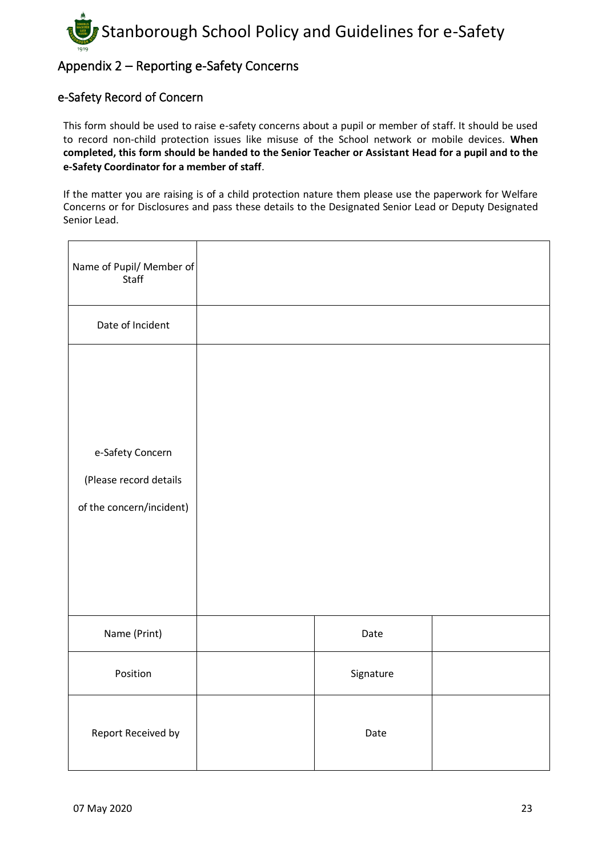

#### <span id="page-22-0"></span>Appendix 2 – Reporting e-Safety Concerns

#### <span id="page-22-1"></span>e-Safety Record of Concern

This form should be used to raise e-safety concerns about a pupil or member of staff. It should be used to record non-child protection issues like misuse of the School network or mobile devices. **When completed, this form should be handed to the Senior Teacher or Assistant Head for a pupil and to the e-Safety Coordinator for a member of staff**.

If the matter you are raising is of a child protection nature them please use the paperwork for Welfare Concerns or for Disclosures and pass these details to the Designated Senior Lead or Deputy Designated Senior Lead.

| Name of Pupil/ Member of<br>Staff                                      |           |  |
|------------------------------------------------------------------------|-----------|--|
| Date of Incident                                                       |           |  |
| e-Safety Concern<br>(Please record details<br>of the concern/incident) |           |  |
| Name (Print)                                                           | Date      |  |
| Position                                                               | Signature |  |
| Report Received by                                                     | Date      |  |